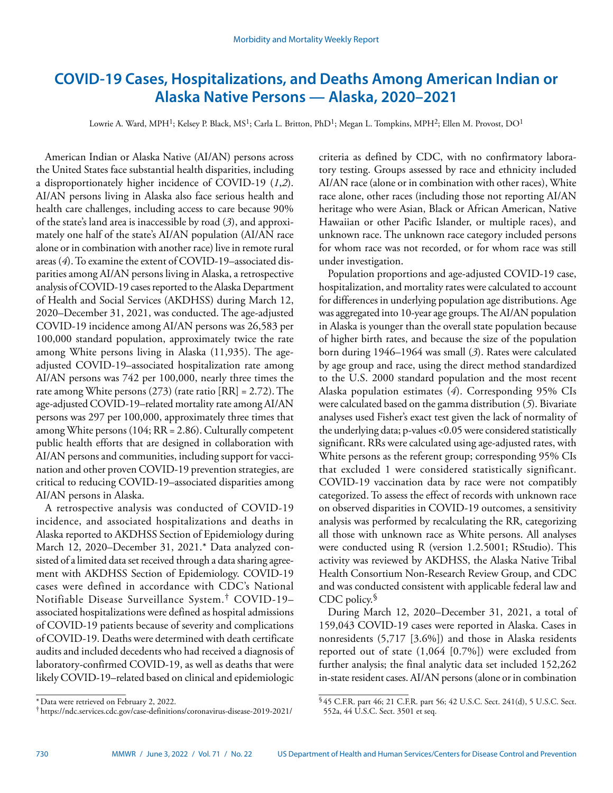# **COVID-19 Cases, Hospitalizations, and Deaths Among American Indian or Alaska Native Persons — Alaska, 2020–2021**

Lowrie A. Ward, MPH<sup>1</sup>; Kelsey P. Black, MS<sup>1</sup>; Carla L. Britton, PhD<sup>1</sup>; Megan L. Tompkins, MPH<sup>2</sup>; Ellen M. Provost, DO<sup>1</sup>

American Indian or Alaska Native (AI/AN) persons across the United States face substantial health disparities, including a disproportionately higher incidence of COVID-19 (*1*,*2*). AI/AN persons living in Alaska also face serious health and health care challenges, including access to care because 90% of the state's land area is inaccessible by road (*3*), and approximately one half of the state's AI/AN population (AI/AN race alone or in combination with another race) live in remote rural areas (*4*). To examine the extent of COVID-19–associated disparities among AI/AN persons living in Alaska, a retrospective analysis of COVID-19 cases reported to the Alaska Department of Health and Social Services (AKDHSS) during March 12, 2020–December 31, 2021, was conducted. The age-adjusted COVID-19 incidence among AI/AN persons was 26,583 per 100,000 standard population, approximately twice the rate among White persons living in Alaska (11,935). The ageadjusted COVID-19–associated hospitalization rate among AI/AN persons was 742 per 100,000, nearly three times the rate among White persons (273) (rate ratio [RR] = 2.72). The age-adjusted COVID-19–related mortality rate among AI/AN persons was 297 per 100,000, approximately three times that among White persons (104; RR = 2.86). Culturally competent public health efforts that are designed in collaboration with AI/AN persons and communities, including support for vaccination and other proven COVID-19 prevention strategies, are critical to reducing COVID-19–associated disparities among AI/AN persons in Alaska.

A retrospective analysis was conducted of COVID-19 incidence, and associated hospitalizations and deaths in Alaska reported to AKDHSS Section of Epidemiology during March 12, 2020–December 31, 2021.\* Data analyzed consisted of a limited data set received through a data sharing agreement with AKDHSS Section of Epidemiology. COVID-19 cases were defined in accordance with CDC's National Notifiable Disease Surveillance System.† COVID-19– associated hospitalizations were defined as hospital admissions of COVID-19 patients because of severity and complications of COVID-19. Deaths were determined with death certificate audits and included decedents who had received a diagnosis of laboratory-confirmed COVID-19, as well as deaths that were likely COVID-19–related based on clinical and epidemiologic

criteria as defined by CDC, with no confirmatory laboratory testing. Groups assessed by race and ethnicity included AI/AN race (alone or in combination with other races), White race alone, other races (including those not reporting AI/AN heritage who were Asian, Black or African American, Native Hawaiian or other Pacific Islander, or multiple races), and unknown race. The unknown race category included persons for whom race was not recorded, or for whom race was still under investigation.

Population proportions and age-adjusted COVID-19 case, hospitalization, and mortality rates were calculated to account for differences in underlying population age distributions. Age was aggregated into 10-year age groups. The AI/AN population in Alaska is younger than the overall state population because of higher birth rates, and because the size of the population born during 1946–1964 was small (*3*). Rates were calculated by age group and race, using the direct method standardized to the U.S. 2000 standard population and the most recent Alaska population estimates (*4*). Corresponding 95% CIs were calculated based on the gamma distribution (*5*). Bivariate analyses used Fisher's exact test given the lack of normality of the underlying data; p-values <0.05 were considered statistically significant. RRs were calculated using age-adjusted rates, with White persons as the referent group; corresponding 95% CIs that excluded 1 were considered statistically significant. COVID-19 vaccination data by race were not compatibly categorized. To assess the effect of records with unknown race on observed disparities in COVID-19 outcomes, a sensitivity analysis was performed by recalculating the RR, categorizing all those with unknown race as White persons. All analyses were conducted using R (version 1.2.5001; RStudio). This activity was reviewed by AKDHSS, the Alaska Native Tribal Health Consortium Non-Research Review Group, and CDC and was conducted consistent with applicable federal law and CDC policy.

During March 12, 2020–December 31, 2021, a total of 159,043 COVID-19 cases were reported in Alaska. Cases in nonresidents (5,717 [3.6%]) and those in Alaska residents reported out of state (1,064 [0.7%]) were excluded from further analysis; the final analytic data set included 152,262 in-state resident cases. AI/AN persons (alone or in combination

§ 45 C.F.R. part 46; 21 C.F.R. part 56; 42 U.S.C. Sect. 241(d), 5 U.S.C. Sect.

552a, 44 U.S.C. Sect. 3501 et seq.

<sup>\*</sup>Data were retrieved on February 2, 2022.

<sup>†</sup> <https://ndc.services.cdc.gov/case-definitions/coronavirus-disease-2019-2021/>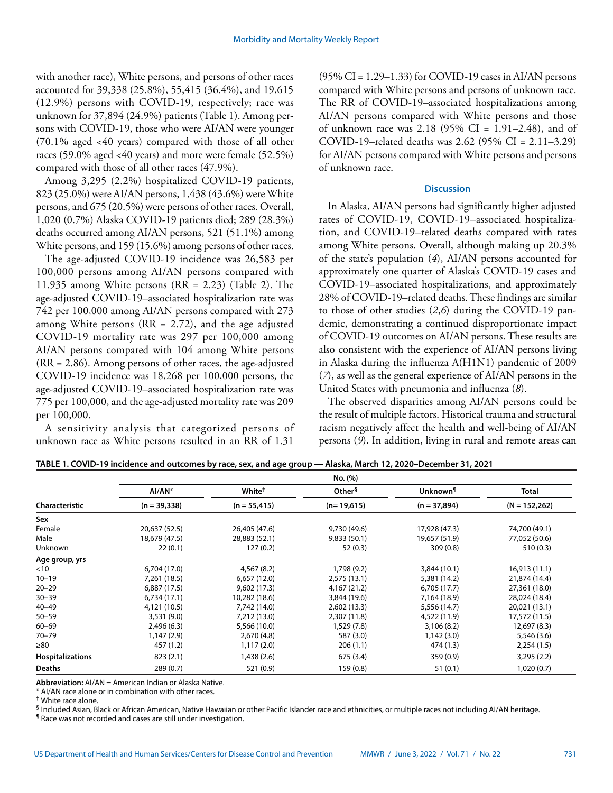with another race), White persons, and persons of other races accounted for 39,338 (25.8%), 55,415 (36.4%), and 19,615 (12.9%) persons with COVID-19, respectively; race was unknown for 37,894 (24.9%) patients (Table 1). Among persons with COVID-19, those who were AI/AN were younger (70.1% aged <40 years) compared with those of all other races (59.0% aged <40 years) and more were female (52.5%) compared with those of all other races (47.9%).

Among 3,295 (2.2%) hospitalized COVID-19 patients, 823 (25.0%) were AI/AN persons, 1,438 (43.6%) were White persons, and 675 (20.5%) were persons of other races. Overall, 1,020 (0.7%) Alaska COVID-19 patients died; 289 (28.3%) deaths occurred among AI/AN persons, 521 (51.1%) among White persons, and 159 (15.6%) among persons of other races.

The age-adjusted COVID-19 incidence was 26,583 per 100,000 persons among AI/AN persons compared with 11,935 among White persons (RR = 2.23) (Table 2). The age-adjusted COVID-19–associated hospitalization rate was 742 per 100,000 among AI/AN persons compared with 273 among White persons ( $RR = 2.72$ ), and the age adjusted COVID-19 mortality rate was 297 per 100,000 among AI/AN persons compared with 104 among White persons (RR = 2.86). Among persons of other races, the age-adjusted COVID-19 incidence was 18,268 per 100,000 persons, the age-adjusted COVID-19–associated hospitalization rate was 775 per 100,000, and the age-adjusted mortality rate was 209 per 100,000.

A sensitivity analysis that categorized persons of unknown race as White persons resulted in an RR of 1.31

(95% CI = 1.29–1.33) for COVID-19 cases in AI/AN persons compared with White persons and persons of unknown race. The RR of COVID-19–associated hospitalizations among AI/AN persons compared with White persons and those of unknown race was 2.18 (95% CI = 1.91–2.48), and of COVID-19–related deaths was 2.62 (95% CI = 2.11–3.29) for AI/AN persons compared with White persons and persons of unknown race.

## **Discussion**

In Alaska, AI/AN persons had significantly higher adjusted rates of COVID-19, COVID-19–associated hospitalization, and COVID-19–related deaths compared with rates among White persons. Overall, although making up 20.3% of the state's population (*4*), AI/AN persons accounted for approximately one quarter of Alaska's COVID-19 cases and COVID-19–associated hospitalizations, and approximately 28% of COVID-19–related deaths. These findings are similar to those of other studies (*2*,*6*) during the COVID-19 pandemic, demonstrating a continued disproportionate impact of COVID-19 outcomes on AI/AN persons. These results are also consistent with the experience of AI/AN persons living in Alaska during the influenza A(H1N1) pandemic of 2009 (*7*), as well as the general experience of AI/AN persons in the United States with pneumonia and influenza (*8*).

The observed disparities among AI/AN persons could be the result of multiple factors. Historical trauma and structural racism negatively affect the health and well-being of AI/AN persons (*9*). In addition, living in rural and remote areas can

|                         | No. (%)        |                    |                    |                      |                 |  |
|-------------------------|----------------|--------------------|--------------------|----------------------|-----------------|--|
|                         | $AI/AN*$       | White <sup>†</sup> | Other <sup>§</sup> | Unknown <sup>¶</sup> | Total           |  |
| Characteristic          | $(n = 39,338)$ | $(n = 55, 415)$    | $(n=19,615)$       | $(n = 37,894)$       | $(N = 152,262)$ |  |
| Sex                     |                |                    |                    |                      |                 |  |
| Female                  | 20,637 (52.5)  | 26,405 (47.6)      | 9,730 (49.6)       | 17,928 (47.3)        | 74,700 (49.1)   |  |
| Male                    | 18,679 (47.5)  | 28,883 (52.1)      | 9,833 (50.1)       | 19,657 (51.9)        | 77,052 (50.6)   |  |
| Unknown                 | 22(0.1)        | 127(0.2)           | 52(0.3)            | 309(0.8)             | 510(0.3)        |  |
| Age group, yrs          |                |                    |                    |                      |                 |  |
| $<$ 10                  | 6,704 (17.0)   | 4,567(8.2)         | 1,798 (9.2)        | 3,844 (10.1)         | 16,913(11.1)    |  |
| $10 - 19$               | 7,261 (18.5)   | 6,657(12.0)        | 2,575(13.1)        | 5,381 (14.2)         | 21,874 (14.4)   |  |
| $20 - 29$               | 6,887(17.5)    | 9,602(17.3)        | 4,167 (21.2)       | 6,705(17.7)          | 27,361 (18.0)   |  |
| $30 - 39$               | 6,734(17.1)    | 10,282 (18.6)      | 3,844 (19.6)       | 7,164 (18.9)         | 28,024 (18.4)   |  |
| 40-49                   | 4,121 (10.5)   | 7,742 (14.0)       | 2,602(13.3)        | 5,556 (14.7)         | 20,021 (13.1)   |  |
| $50 - 59$               | 3,531 (9.0)    | 7,212 (13.0)       | 2,307 (11.8)       | 4,522 (11.9)         | 17,572 (11.5)   |  |
| $60 - 69$               | 2,496(6.3)     | 5,566 (10.0)       | 1,529 (7.8)        | 3,106(8.2)           | 12,697 (8.3)    |  |
| $70 - 79$               | 1,147(2.9)     | 2,670(4.8)         | 587 (3.0)          | 1,142 (3.0)          | 5,546 (3.6)     |  |
| ≥80                     | 457 (1.2)      | 1,117(2.0)         | 206(1.1)           | 474 (1.3)            | 2,254(1.5)      |  |
| <b>Hospitalizations</b> | 823(2.1)       | 1,438 (2.6)        | 675 (3.4)          | 359 (0.9)            | 3,295 (2.2)     |  |
| <b>Deaths</b>           | 289(0.7)       | 521 (0.9)          | 159 (0.8)          | 51(0.1)              | 1,020(0.7)      |  |

**TABLE 1. COVID-19 incidence and outcomes by race, sex, and age group — Alaska, March 12, 2020–December 31, 2021**

**Abbreviation:** AI/AN = American Indian or Alaska Native.

\* AI/AN race alone or in combination with other races.

**†** White race alone.

§ Included Asian, Black or African American, Native Hawaiian or other Pacific Islander race and ethnicities, or multiple races not including AI/AN heritage.

¶ Race was not recorded and cases are still under investigation.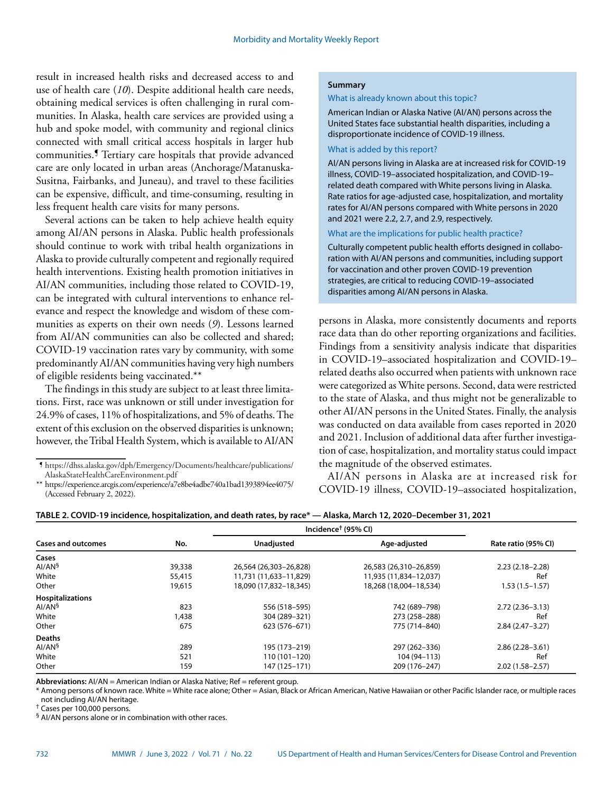result in increased health risks and decreased access to and use of health care (*10*). Despite additional health care needs, obtaining medical services is often challenging in rural communities. In Alaska, health care services are provided using a hub and spoke model, with community and regional clinics connected with small critical access hospitals in larger hub communities.¶ Tertiary care hospitals that provide advanced care are only located in urban areas (Anchorage/Matanuska-Susitna, Fairbanks, and Juneau), and travel to these facilities can be expensive, difficult, and time-consuming, resulting in less frequent health care visits for many persons.

Several actions can be taken to help achieve health equity among AI/AN persons in Alaska. Public health professionals should continue to work with tribal health organizations in Alaska to provide culturally competent and regionally required health interventions. Existing health promotion initiatives in AI/AN communities, including those related to COVID-19, can be integrated with cultural interventions to enhance relevance and respect the knowledge and wisdom of these communities as experts on their own needs (*9*). Lessons learned from AI/AN communities can also be collected and shared; COVID-19 vaccination rates vary by community, with some predominantly AI/AN communities having very high numbers of eligible residents being vaccinated.\*\*

The findings in this study are subject to at least three limitations. First, race was unknown or still under investigation for 24.9% of cases, 11% of hospitalizations, and 5% of deaths. The extent of this exclusion on the observed disparities is unknown; however, the Tribal Health System, which is available to AI/AN

## **Summary**

What is already known about this topic?

American Indian or Alaska Native (AI/AN) persons across the United States face substantial health disparities, including a disproportionate incidence of COVID-19 illness.

### What is added by this report?

AI/AN persons living in Alaska are at increased risk for COVID-19 illness, COVID-19–associated hospitalization, and COVID-19– related death compared with White persons living in Alaska. Rate ratios for age-adjusted case, hospitalization, and mortality rates for AI/AN persons compared with White persons in 2020 and 2021 were 2.2, 2.7, and 2.9, respectively.

What are the implications for public health practice?

Culturally competent public health efforts designed in collaboration with AI/AN persons and communities, including support for vaccination and other proven COVID-19 prevention strategies, are critical to reducing COVID-19–associated disparities among AI/AN persons in Alaska.

persons in Alaska, more consistently documents and reports race data than do other reporting organizations and facilities. Findings from a sensitivity analysis indicate that disparities in COVID-19–associated hospitalization and COVID-19– related deaths also occurred when patients with unknown race were categorized as White persons. Second, data were restricted to the state of Alaska, and thus might not be generalizable to other AI/AN persons in the United States. Finally, the analysis was conducted on data available from cases reported in 2020 and 2021. Inclusion of additional data after further investigation of case, hospitalization, and mortality status could impact the magnitude of the observed estimates.

AI/AN persons in Alaska are at increased risk for COVID-19 illness, COVID-19–associated hospitalization,

|                           |        | Incidence <sup>†</sup> (95% CI) |                        |                     |
|---------------------------|--------|---------------------------------|------------------------|---------------------|
| <b>Cases and outcomes</b> | No.    | Unadjusted                      | Age-adjusted           | Rate ratio (95% CI) |
| Cases                     |        |                                 |                        |                     |
| AI/AN <sup>§</sup>        | 39,338 | 26,564 (26,303-26,828)          | 26,583 (26,310-26,859) | $2.23(2.18-2.28)$   |
| White                     | 55,415 | 11,731 (11,633–11,829)          | 11,935 (11,834–12,037) | Ref                 |
| Other                     | 19,615 | 18,090 (17,832-18,345)          | 18,268 (18,004-18,534) | $1.53(1.5-1.57)$    |
| <b>Hospitalizations</b>   |        |                                 |                        |                     |
| AI/AN <sup>§</sup>        | 823    | 556 (518-595)                   | 742 (689-798)          | $2.72(2.36 - 3.13)$ |
| White                     | 1,438  | 304 (289-321)                   | 273 (258-288)          | Ref                 |
| Other                     | 675    | 623 (576–671)                   | 775 (714-840)          | $2.84(2.47-3.27)$   |
| <b>Deaths</b>             |        |                                 |                        |                     |
| AI/AN <sup>§</sup>        | 289    | 195 (173-219)                   | 297 (262-336)          | $2.86(2.28 - 3.61)$ |
| White                     | 521    | 110 (101-120)                   | 104 (94-113)           | Ref                 |
| Other                     | 159    | 147 (125-171)                   | 209 (176-247)          | $2.02(1.58 - 2.57)$ |

## **TABLE 2. COVID-19 incidence, hospitalization, and death rates, by race\* — Alaska, March 12, 2020–December 31, 2021**

Abbreviations: Al/AN = American Indian or Alaska Native; Ref = referent group.

\* Among persons of known race. White = White race alone; Other = Asian, Black or African American, Native Hawaiian or other Pacific Islander race, or multiple races not including AI/AN heritage.

† Cases per 100,000 persons.

§ AI/AN persons alone or in combination with other races.

 $\P$ [https://dhss.alaska.gov/dph/Emergency/Documents/healthcare/publications/](https://dhss.alaska.gov/dph/Emergency/Documents/healthcare/publications/AlaskaStateHealthCareEnvironment.pdf) [AlaskaStateHealthCareEnvironment.pdf](https://dhss.alaska.gov/dph/Emergency/Documents/healthcare/publications/AlaskaStateHealthCareEnvironment.pdf)

<sup>\*\*</sup> <https://experience.arcgis.com/experience/a7e8be4adbe740a1bad1393894ee4075/> (Accessed February 2, 2022).